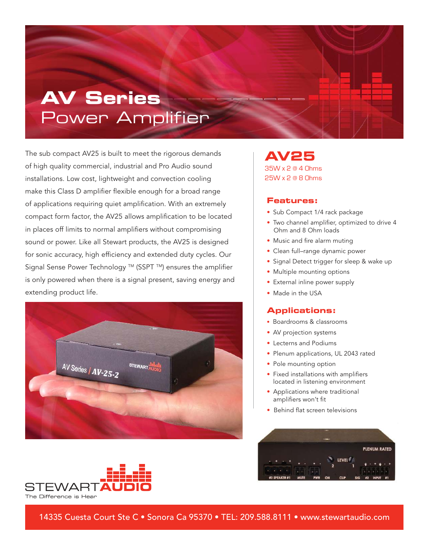# **AV Series** Power Amplifier

The sub compact AV25 is built to meet the rigorous demands of high quality commercial, industrial and Pro Audio sound installations. Low cost, lightweight and convection cooling make this Class D amplifier flexible enough for a broad range of applications requiring quiet amplification. With an extremely compact form factor, the AV25 allows amplification to be located in places off limits to normal amplifiers without compromising sound or power. Like all Stewart products, the AV25 is designed for sonic accuracy, high efficiency and extended duty cycles. Our Signal Sense Power Technology ™ (SSPT ™) ensures the amplifier is only powered when there is a signal present, saving energy and extending product life.



**AV25** 35W x 2 @ 4 Ohms 25W x 2 @ 8 Ohms

#### **Features:**

- Sub Compact 1/4 rack package
- Two channel amplifier, optimized to drive 4 Ohm and 8 Ohm loads
- Music and fire alarm muting
- Clean full–range dynamic power
- Signal Detect trigger for sleep & wake up
- Multiple mounting options
- External inline power supply
- Made in the USA

### **Applications:**

- Boardrooms & classrooms
- AV projection systems
- Lecterns and Podiums
- Plenum applications, UL 2043 rated
- Pole mounting option
- Fixed installations with amplifiers located in listening environment
- Applications where traditional amplifiers won't fit
- Behind flat screen televisions





14335 Cuesta Court Ste C • Sonora Ca 95370 • TEL: 209.588.8111 • www.stewartaudio.com